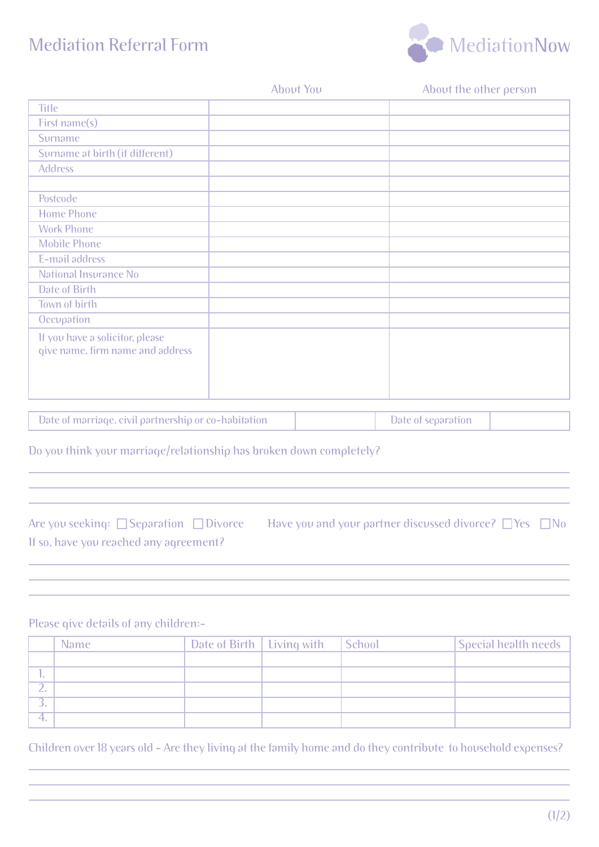## Mediation Referral Form



|                                                                     | <b>About You</b> | About the other person |
|---------------------------------------------------------------------|------------------|------------------------|
| <b>Title</b>                                                        |                  |                        |
| First name(s)                                                       |                  |                        |
| Surname                                                             |                  |                        |
| Surname at birth (if different)                                     |                  |                        |
| <b>Address</b>                                                      |                  |                        |
|                                                                     |                  |                        |
| Postcode                                                            |                  |                        |
| <b>Home Phone</b>                                                   |                  |                        |
| <b>Work Phone</b>                                                   |                  |                        |
| <b>Mobile Phone</b>                                                 |                  |                        |
| E-mail address                                                      |                  |                        |
| <b>National Insurance No</b>                                        |                  |                        |
| Date of Birth                                                       |                  |                        |
| Town of birth                                                       |                  |                        |
| Occupation                                                          |                  |                        |
| If you have a solicitor, please<br>give name, firm name and address |                  |                        |

| Date of marriage, civil partnership or co-habitation | Date of separation |  |
|------------------------------------------------------|--------------------|--|
|                                                      |                    |  |

Do you think your marriage/relationship has broken down completely?

Are you seeking:  $\Box$  Separation  $\Box$  Divorce Have you and your partner discussed divorce?  $\Box$  Yes  $\Box$  No If so, have you reached any agreement?

## Please give details of any children:-

|    | <b>Name</b> | Date of Birth   Living with   School | Special health needs |
|----|-------------|--------------------------------------|----------------------|
|    |             |                                      |                      |
| ٠. |             |                                      |                      |
|    |             |                                      |                      |
|    |             |                                      |                      |
|    |             |                                      |                      |

Children over 18 years old - Are they living at the family home and do they contribute to household expenses?